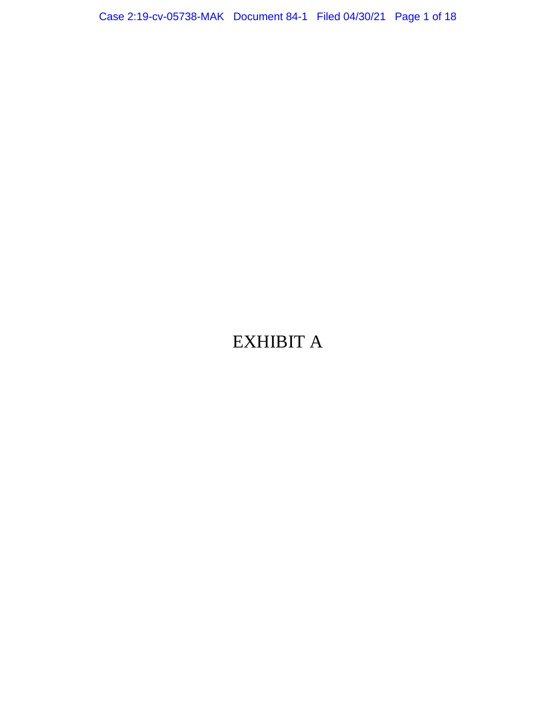Case 2:19-cv-05738-MAK Document 84-1 Filed 04/30/21 Page 1 of 18

# EXHIBIT A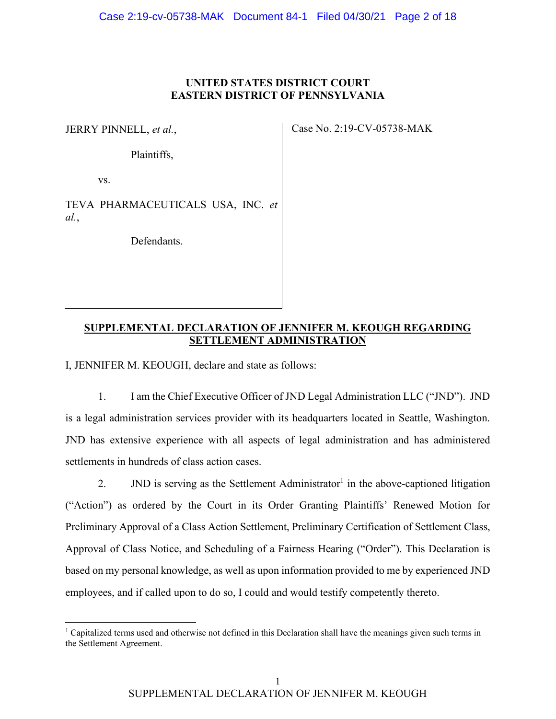# **UNITED STATES DISTRICT COURT EASTERN DISTRICT OF PENNSYLVANIA**

JERRY PINNELL, *et al.*,

Plaintiffs,

vs.

TEVA PHARMACEUTICALS USA, INC. *et al.*,

Defendants.

Case No. 2:19-CV-05738-MAK

# **SUPPLEMENTAL DECLARATION OF JENNIFER M. KEOUGH REGARDING SETTLEMENT ADMINISTRATION**

I, JENNIFER M. KEOUGH, declare and state as follows:

1. I am the Chief Executive Officer of JND Legal Administration LLC ("JND"). JND is a legal administration services provider with its headquarters located in Seattle, Washington. JND has extensive experience with all aspects of legal administration and has administered settlements in hundreds of class action cases.

2. JND is serving as the Settlement Administrator<sup>1</sup> in the above-captioned litigation ("Action") as ordered by the Court in its Order Granting Plaintiffs' Renewed Motion for Preliminary Approval of a Class Action Settlement, Preliminary Certification of Settlement Class, Approval of Class Notice, and Scheduling of a Fairness Hearing ("Order"). This Declaration is based on my personal knowledge, as well as upon information provided to me by experienced JND employees, and if called upon to do so, I could and would testify competently thereto.

<sup>&</sup>lt;sup>1</sup> Capitalized terms used and otherwise not defined in this Declaration shall have the meanings given such terms in the Settlement Agreement.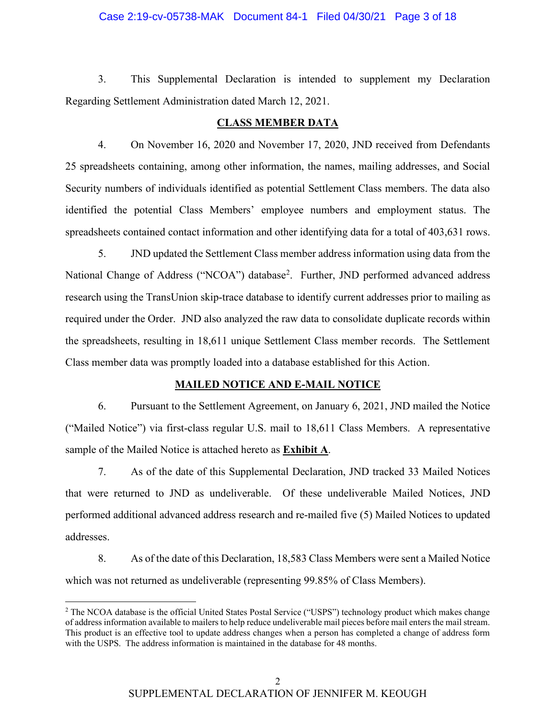#### Case 2:19-cv-05738-MAK Document 84-1 Filed 04/30/21 Page 3 of 18

3. This Supplemental Declaration is intended to supplement my Declaration Regarding Settlement Administration dated March 12, 2021.

#### **CLASS MEMBER DATA**

4. On November 16, 2020 and November 17, 2020, JND received from Defendants 25 spreadsheets containing, among other information, the names, mailing addresses, and Social Security numbers of individuals identified as potential Settlement Class members. The data also identified the potential Class Members' employee numbers and employment status. The spreadsheets contained contact information and other identifying data for a total of 403,631 rows.

5. JND updated the Settlement Class member address information using data from the National Change of Address ("NCOA") database<sup>2</sup>. Further, JND performed advanced address research using the TransUnion skip-trace database to identify current addresses prior to mailing as required under the Order. JND also analyzed the raw data to consolidate duplicate records within the spreadsheets, resulting in 18,611 unique Settlement Class member records. The Settlement Class member data was promptly loaded into a database established for this Action.

#### **MAILED NOTICE AND E-MAIL NOTICE**

6. Pursuant to the Settlement Agreement, on January 6, 2021, JND mailed the Notice ("Mailed Notice") via first-class regular U.S. mail to 18,611 Class Members. A representative sample of the Mailed Notice is attached hereto as **Exhibit A**.

7. As of the date of this Supplemental Declaration, JND tracked 33 Mailed Notices that were returned to JND as undeliverable. Of these undeliverable Mailed Notices, JND performed additional advanced address research and re-mailed five (5) Mailed Notices to updated addresses.

8. As of the date of this Declaration, 18,583 Class Members were sent a Mailed Notice which was not returned as undeliverable (representing 99.85% of Class Members).

<sup>&</sup>lt;sup>2</sup> The NCOA database is the official United States Postal Service ("USPS") technology product which makes change of address information available to mailers to help reduce undeliverable mail pieces before mail enters the mail stream. This product is an effective tool to update address changes when a person has completed a change of address form with the USPS. The address information is maintained in the database for 48 months.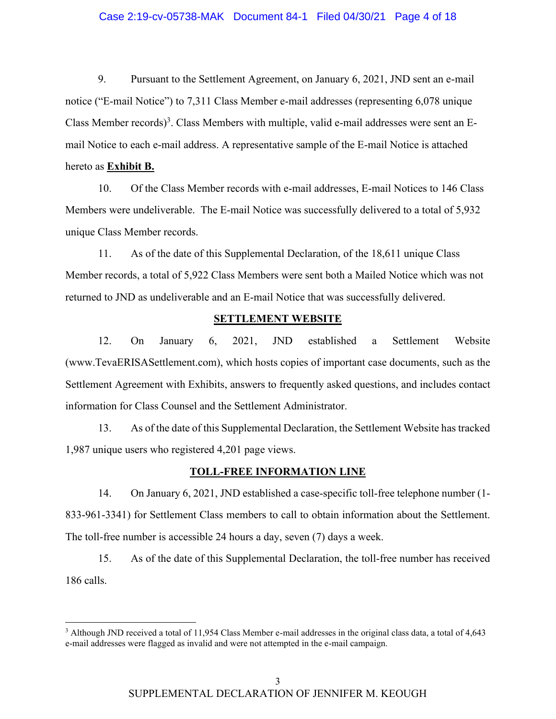#### Case 2:19-cv-05738-MAK Document 84-1 Filed 04/30/21 Page 4 of 18

9. Pursuant to the Settlement Agreement, on January 6, 2021, JND sent an e-mail notice ("E-mail Notice") to 7,311 Class Member e-mail addresses (representing 6,078 unique Class Member records)<sup>3</sup>. Class Members with multiple, valid e-mail addresses were sent an Email Notice to each e-mail address. A representative sample of the E-mail Notice is attached

# hereto as **Exhibit B.**

10. Of the Class Member records with e-mail addresses, E-mail Notices to 146 Class Members were undeliverable. The E-mail Notice was successfully delivered to a total of 5,932 unique Class Member records.

11. As of the date of this Supplemental Declaration, of the 18,611 unique Class Member records, a total of 5,922 Class Members were sent both a Mailed Notice which was not returned to JND as undeliverable and an E-mail Notice that was successfully delivered.

#### **SETTLEMENT WEBSITE**

12. On January 6, 2021, JND established a Settlement Website (www.TevaERISASettlement.com), which hosts copies of important case documents, such as the Settlement Agreement with Exhibits, answers to frequently asked questions, and includes contact information for Class Counsel and the Settlement Administrator.

13. As of the date of this Supplemental Declaration, the Settlement Website has tracked 1,987 unique users who registered 4,201 page views.

#### **TOLL-FREE INFORMATION LINE**

14. On January 6, 2021, JND established a case-specific toll-free telephone number (1- 833-961-3341) for Settlement Class members to call to obtain information about the Settlement. The toll-free number is accessible 24 hours a day, seven (7) days a week.

15. As of the date of this Supplemental Declaration, the toll-free number has received 186 calls.

<sup>&</sup>lt;sup>3</sup> Although JND received a total of 11,954 Class Member e-mail addresses in the original class data, a total of 4,643 e-mail addresses were flagged as invalid and were not attempted in the e-mail campaign.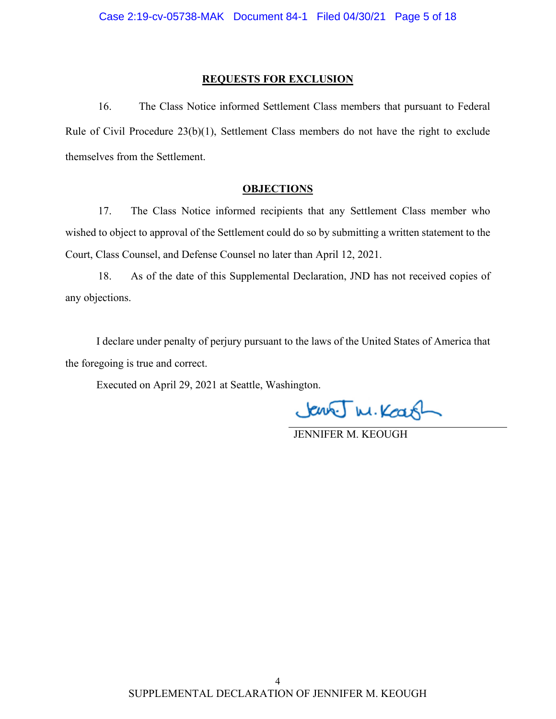#### **REQUESTS FOR EXCLUSION**

16. The Class Notice informed Settlement Class members that pursuant to Federal Rule of Civil Procedure 23(b)(1), Settlement Class members do not have the right to exclude themselves from the Settlement.

#### **OBJECTIONS**

17. The Class Notice informed recipients that any Settlement Class member who wished to object to approval of the Settlement could do so by submitting a written statement to the Court, Class Counsel, and Defense Counsel no later than April 12, 2021.

18. As of the date of this Supplemental Declaration, JND has not received copies of any objections.

I declare under penalty of perjury pursuant to the laws of the United States of America that the foregoing is true and correct.

Executed on April 29, 2021 at Seattle, Washington.

Jenny M. Koarl

JENNIFER M. KEOUGH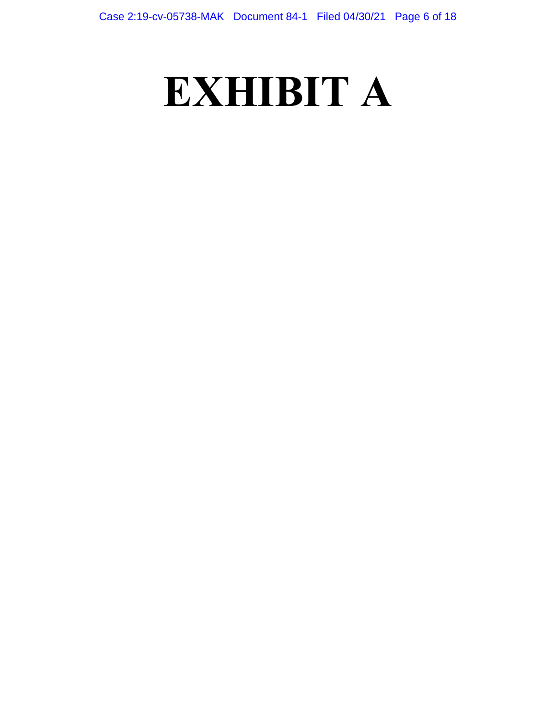# **EXHIBIT A**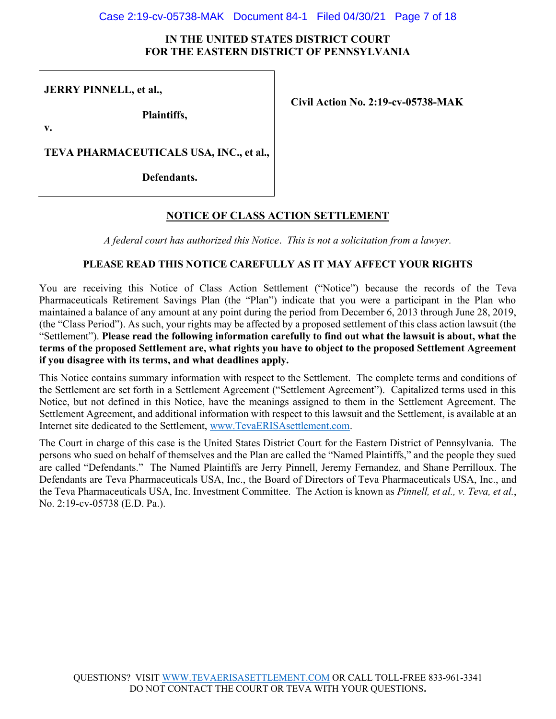#### Case 2:19-cv-05738-MAK Document 84-1 Filed 04/30/21 Page 7 of 18

#### **IN THE UNITED STATES DISTRICT COURT FOR THE EASTERN DISTRICT OF PENNSYLVANIA**

**JERRY PINNELL, et al.,**

**Plaintiffs,**

**Civil Action No. 2:19-cv-05738-MAK**

**v.**

**TEVA PHARMACEUTICALS USA, INC., et al.,** 

**Defendants.**

# **NOTICE OF CLASS ACTION SETTLEMENT**

*A federal court has authorized this Notice*. *This is not a solicitation from a lawyer.*

#### **PLEASE READ THIS NOTICE CAREFULLY AS IT MAY AFFECT YOUR RIGHTS**

You are receiving this Notice of Class Action Settlement ("Notice") because the records of the Teva Pharmaceuticals Retirement Savings Plan (the "Plan") indicate that you were a participant in the Plan who maintained a balance of any amount at any point during the period from December 6, 2013 through June 28, 2019, (the "Class Period"). As such, your rights may be affected by a proposed settlement of this class action lawsuit (the "Settlement"). **Please read the following information carefully to find out what the lawsuit is about, what the terms of the proposed Settlement are, what rights you have to object to the proposed Settlement Agreement if you disagree with its terms, and what deadlines apply.**

This Notice contains summary information with respect to the Settlement. The complete terms and conditions of the Settlement are set forth in a Settlement Agreement ("Settlement Agreement"). Capitalized terms used in this Notice, but not defined in this Notice, have the meanings assigned to them in the Settlement Agreement. The Settlement Agreement, and additional information with respect to this lawsuit and the Settlement, is available at an Internet site dedicated to the Settlement, www.TevaERISAsettlement.com.

The Court in charge of this case is the United States District Court for the Eastern District of Pennsylvania. The persons who sued on behalf of themselves and the Plan are called the "Named Plaintiffs," and the people they sued are called "Defendants." The Named Plaintiffs are Jerry Pinnell, Jeremy Fernandez, and Shane Perrilloux. The Defendants are Teva Pharmaceuticals USA, Inc., the Board of Directors of Teva Pharmaceuticals USA, Inc., and the Teva Pharmaceuticals USA, Inc. Investment Committee. The Action is known as *Pinnell, et al., v. Teva, et al.*, No. 2:19-cv-05738 (E.D. Pa.).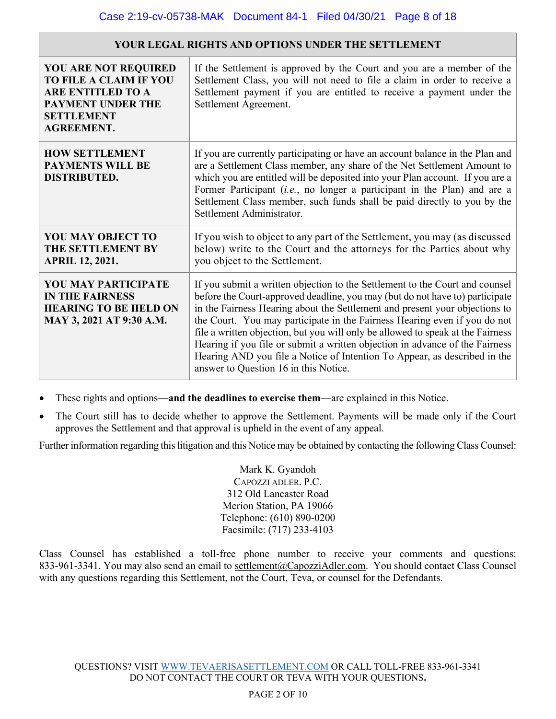| <b>YOU ARE NOT REQUIRED</b><br><b>TO FILE A CLAIM IF YOU</b><br><b>ARE ENTITLED TO A</b><br><b>PAYMENT UNDER THE</b><br><b>SETTLEMENT</b><br><b>AGREEMENT.</b> | If the Settlement is approved by the Court and you are a member of the<br>Settlement Class, you will not need to file a claim in order to receive a<br>Settlement payment if you are entitled to receive a payment under the<br>Settlement Agreement.                                                                                                                                                                                                                                                                                                                                                             |
|----------------------------------------------------------------------------------------------------------------------------------------------------------------|-------------------------------------------------------------------------------------------------------------------------------------------------------------------------------------------------------------------------------------------------------------------------------------------------------------------------------------------------------------------------------------------------------------------------------------------------------------------------------------------------------------------------------------------------------------------------------------------------------------------|
| <b>HOW SETTLEMENT</b><br><b>PAYMENTS WILL BE</b><br><b>DISTRIBUTED.</b>                                                                                        | If you are currently participating or have an account balance in the Plan and<br>are a Settlement Class member, any share of the Net Settlement Amount to<br>which you are entitled will be deposited into your Plan account. If you are a<br>Former Participant <i>(i.e., no longer a participant in the Plan)</i> and are a<br>Settlement Class member, such funds shall be paid directly to you by the<br>Settlement Administrator.                                                                                                                                                                            |
| <b>YOU MAY OBJECT TO</b><br><b>THE SETTLEMENT BY</b><br><b>APRIL 12, 2021.</b>                                                                                 | If you wish to object to any part of the Settlement, you may (as discussed<br>below) write to the Court and the attorneys for the Parties about why<br>you object to the Settlement.                                                                                                                                                                                                                                                                                                                                                                                                                              |
| <b>YOU MAY PARTICIPATE</b><br><b>IN THE FAIRNESS</b><br><b>HEARING TO BE HELD ON</b><br>MAY 3, 2021 AT 9:30 A.M.                                               | If you submit a written objection to the Settlement to the Court and counsel<br>before the Court-approved deadline, you may (but do not have to) participate<br>in the Fairness Hearing about the Settlement and present your objections to<br>the Court. You may participate in the Fairness Hearing even if you do not<br>file a written objection, but you will only be allowed to speak at the Fairness<br>Hearing if you file or submit a written objection in advance of the Fairness<br>Hearing AND you file a Notice of Intention To Appear, as described in the<br>answer to Question 16 in this Notice. |

**YOUR LEGAL RIGHTS AND OPTIONS UNDER THE SETTLEMENT**

- These rights and options**—and the deadlines to exercise them**—are explained in this Notice.
- The Court still has to decide whether to approve the Settlement. Payments will be made only if the Court approves the Settlement and that approval is upheld in the event of any appeal.

Further information regarding this litigation and this Notice may be obtained by contacting the following Class Counsel:

Mark K. Gyandoh CAPOZZI ADLER. P.C. 312 Old Lancaster Road Merion Station, PA 19066 Telephone: (610) 890-0200 Facsimile: (717) 233-4103

Class Counsel has established a toll-free phone number to receive your comments and questions: 833-961-3341. You may also send an email to settlement@CapozziAdler.com. You should contact Class Counsel with any questions regarding this Settlement, not the Court, Teva, or counsel for the Defendants.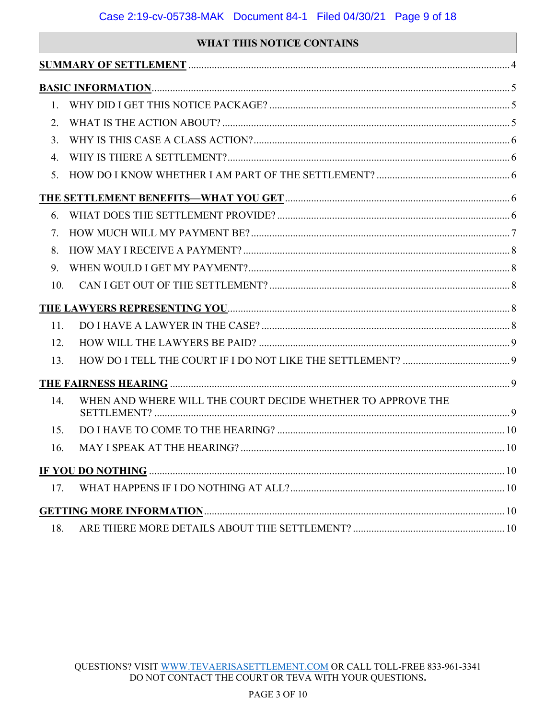# **WHAT THIS NOTICE CONTAINS**

| 1.                               |                                                                               |     |
|----------------------------------|-------------------------------------------------------------------------------|-----|
| $\overline{2}$ .                 |                                                                               |     |
| 3.                               |                                                                               |     |
| 4                                |                                                                               |     |
| $5_{-}$                          |                                                                               |     |
|                                  |                                                                               |     |
| 6.                               |                                                                               |     |
| $7_{\scriptscriptstyle{\ddots}}$ |                                                                               |     |
| 8.                               |                                                                               |     |
| 9                                |                                                                               |     |
| 10.                              |                                                                               |     |
|                                  |                                                                               |     |
| 11.                              |                                                                               |     |
| 12.                              |                                                                               |     |
| 13.                              |                                                                               |     |
|                                  | THE FAIRNESS HEARING <b>CONSERVENT BETWEE</b> PLACES AND THE FAIRNESS HEARING |     |
| 14.                              | WHEN AND WHERE WILL THE COURT DECIDE WHETHER TO APPROVE THE                   |     |
| 15.                              |                                                                               |     |
| 16.                              |                                                                               |     |
|                                  |                                                                               |     |
| 17.                              |                                                                               |     |
|                                  |                                                                               |     |
| 18.                              |                                                                               | .10 |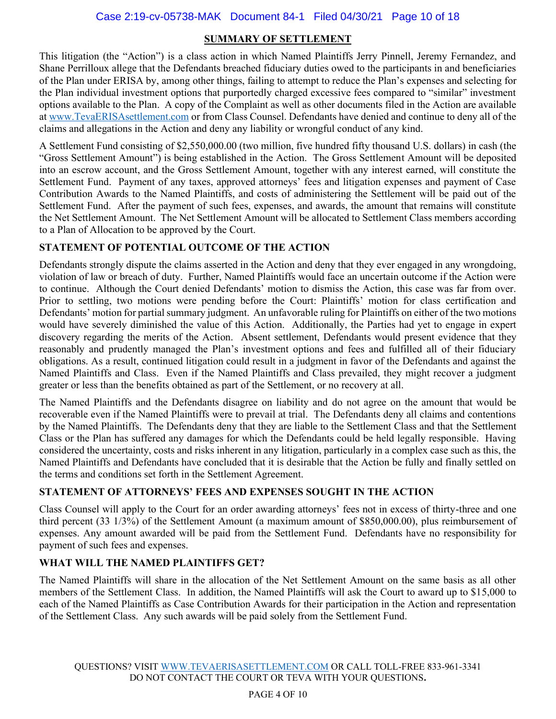## **SUMMARY OF SETTLEMENT**

This litigation (the "Action") is a class action in which Named Plaintiffs Jerry Pinnell, Jeremy Fernandez, and Shane Perrilloux allege that the Defendants breached fiduciary duties owed to the participants in and beneficiaries of the Plan under ERISA by, among other things, failing to attempt to reduce the Plan's expenses and selecting for the Plan individual investment options that purportedly charged excessive fees compared to "similar" investment options available to the Plan. A copy of the Complaint as well as other documents filed in the Action are available at www.TevaERISAsettlement.com or from Class Counsel. Defendants have denied and continue to deny all of the claims and allegations in the Action and deny any liability or wrongful conduct of any kind.

A Settlement Fund consisting of \$2,550,000.00 (two million, five hundred fifty thousand U.S. dollars) in cash (the "Gross Settlement Amount") is being established in the Action. The Gross Settlement Amount will be deposited into an escrow account, and the Gross Settlement Amount, together with any interest earned, will constitute the Settlement Fund. Payment of any taxes, approved attorneys' fees and litigation expenses and payment of Case Contribution Awards to the Named Plaintiffs, and costs of administering the Settlement will be paid out of the Settlement Fund. After the payment of such fees, expenses, and awards, the amount that remains will constitute the Net Settlement Amount. The Net Settlement Amount will be allocated to Settlement Class members according to a Plan of Allocation to be approved by the Court.

# **STATEMENT OF POTENTIAL OUTCOME OF THE ACTION**

Defendants strongly dispute the claims asserted in the Action and deny that they ever engaged in any wrongdoing, violation of law or breach of duty. Further, Named Plaintiffs would face an uncertain outcome if the Action were to continue. Although the Court denied Defendants' motion to dismiss the Action, this case was far from over. Prior to settling, two motions were pending before the Court: Plaintiffs' motion for class certification and Defendants' motion for partial summary judgment. An unfavorable ruling for Plaintiffs on either of the two motions would have severely diminished the value of this Action. Additionally, the Parties had yet to engage in expert discovery regarding the merits of the Action. Absent settlement, Defendants would present evidence that they reasonably and prudently managed the Plan's investment options and fees and fulfilled all of their fiduciary obligations. As a result, continued litigation could result in a judgment in favor of the Defendants and against the Named Plaintiffs and Class. Even if the Named Plaintiffs and Class prevailed, they might recover a judgment greater or less than the benefits obtained as part of the Settlement, or no recovery at all.

The Named Plaintiffs and the Defendants disagree on liability and do not agree on the amount that would be recoverable even if the Named Plaintiffs were to prevail at trial. The Defendants deny all claims and contentions by the Named Plaintiffs. The Defendants deny that they are liable to the Settlement Class and that the Settlement Class or the Plan has suffered any damages for which the Defendants could be held legally responsible. Having considered the uncertainty, costs and risks inherent in any litigation, particularly in a complex case such as this, the Named Plaintiffs and Defendants have concluded that it is desirable that the Action be fully and finally settled on the terms and conditions set forth in the Settlement Agreement.

# **STATEMENT OF ATTORNEYS' FEES AND EXPENSES SOUGHT IN THE ACTION**

Class Counsel will apply to the Court for an order awarding attorneys' fees not in excess of thirty-three and one third percent (33 1/3%) of the Settlement Amount (a maximum amount of \$850,000.00), plus reimbursement of expenses. Any amount awarded will be paid from the Settlement Fund. Defendants have no responsibility for payment of such fees and expenses.

# **WHAT WILL THE NAMED PLAINTIFFS GET?**

The Named Plaintiffs will share in the allocation of the Net Settlement Amount on the same basis as all other members of the Settlement Class. In addition, the Named Plaintiffs will ask the Court to award up to \$15,000 to each of the Named Plaintiffs as Case Contribution Awards for their participation in the Action and representation of the Settlement Class. Any such awards will be paid solely from the Settlement Fund.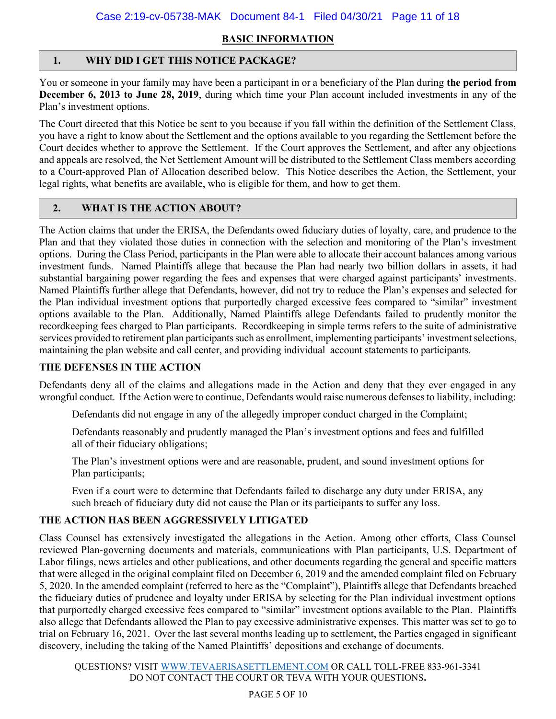# **BASIC INFORMATION**

# **1. WHY DID I GET THIS NOTICE PACKAGE?**

You or someone in your family may have been a participant in or a beneficiary of the Plan during **the period from December 6, 2013 to June 28, 2019**, during which time your Plan account included investments in any of the Plan's investment options.

The Court directed that this Notice be sent to you because if you fall within the definition of the Settlement Class, you have a right to know about the Settlement and the options available to you regarding the Settlement before the Court decides whether to approve the Settlement. If the Court approves the Settlement, and after any objections and appeals are resolved, the Net Settlement Amount will be distributed to the Settlement Class members according to a Court-approved Plan of Allocation described below. This Notice describes the Action, the Settlement, your legal rights, what benefits are available, who is eligible for them, and how to get them.

# **2. WHAT IS THE ACTION ABOUT?**

The Action claims that under the ERISA, the Defendants owed fiduciary duties of loyalty, care, and prudence to the Plan and that they violated those duties in connection with the selection and monitoring of the Plan's investment options. During the Class Period, participants in the Plan were able to allocate their account balances among various investment funds. Named Plaintiffs allege that because the Plan had nearly two billion dollars in assets, it had substantial bargaining power regarding the fees and expenses that were charged against participants' investments. Named Plaintiffs further allege that Defendants, however, did not try to reduce the Plan's expenses and selected for the Plan individual investment options that purportedly charged excessive fees compared to "similar" investment options available to the Plan. Additionally, Named Plaintiffs allege Defendants failed to prudently monitor the recordkeeping fees charged to Plan participants. Recordkeeping in simple terms refers to the suite of administrative services provided to retirement plan participants such as enrollment, implementing participants' investment selections, maintaining the plan website and call center, and providing individual account statements to participants.

#### **THE DEFENSES IN THE ACTION**

Defendants deny all of the claims and allegations made in the Action and deny that they ever engaged in any wrongful conduct. If the Action were to continue, Defendants would raise numerous defenses to liability, including:

Defendants did not engage in any of the allegedly improper conduct charged in the Complaint;

Defendants reasonably and prudently managed the Plan's investment options and fees and fulfilled all of their fiduciary obligations;

The Plan's investment options were and are reasonable, prudent, and sound investment options for Plan participants;

Even if a court were to determine that Defendants failed to discharge any duty under ERISA, any such breach of fiduciary duty did not cause the Plan or its participants to suffer any loss.

# **THE ACTION HAS BEEN AGGRESSIVELY LITIGATED**

Class Counsel has extensively investigated the allegations in the Action. Among other efforts, Class Counsel reviewed Plan-governing documents and materials, communications with Plan participants, U.S. Department of Labor filings, news articles and other publications, and other documents regarding the general and specific matters that were alleged in the original complaint filed on December 6, 2019 and the amended complaint filed on February 5, 2020. In the amended complaint (referred to here as the "Complaint"), Plaintiffs allege that Defendants breached the fiduciary duties of prudence and loyalty under ERISA by selecting for the Plan individual investment options that purportedly charged excessive fees compared to "similar" investment options available to the Plan. Plaintiffs also allege that Defendants allowed the Plan to pay excessive administrative expenses. This matter was set to go to trial on February 16, 2021. Over the last several months leading up to settlement, the Parties engaged in significant discovery, including the taking of the Named Plaintiffs' depositions and exchange of documents.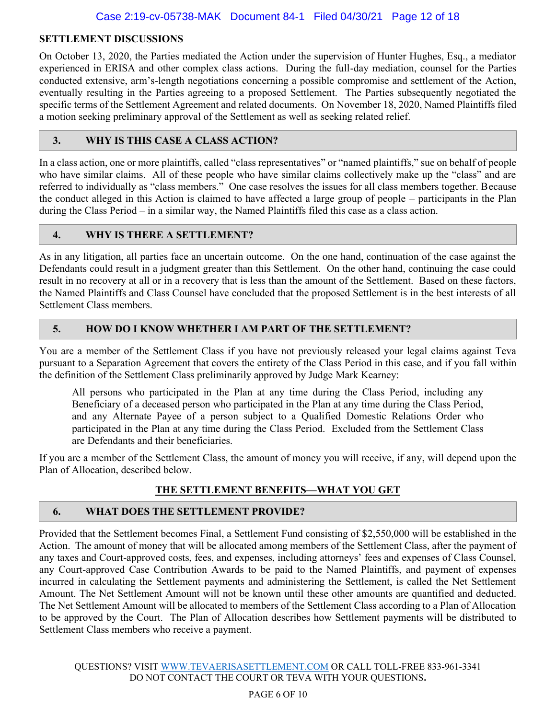#### **SETTLEMENT DISCUSSIONS**

On October 13, 2020, the Parties mediated the Action under the supervision of Hunter Hughes, Esq., a mediator experienced in ERISA and other complex class actions. During the full-day mediation, counsel for the Parties conducted extensive, arm's-length negotiations concerning a possible compromise and settlement of the Action, eventually resulting in the Parties agreeing to a proposed Settlement. The Parties subsequently negotiated the specific terms of the Settlement Agreement and related documents. On November 18, 2020, Named Plaintiffs filed a motion seeking preliminary approval of the Settlement as well as seeking related relief.

#### **3. WHY IS THIS CASE A CLASS ACTION?**

In a class action, one or more plaintiffs, called "class representatives" or "named plaintiffs," sue on behalf of people who have similar claims. All of these people who have similar claims collectively make up the "class" and are referred to individually as "class members." One case resolves the issues for all class members together. Because the conduct alleged in this Action is claimed to have affected a large group of people – participants in the Plan during the Class Period – in a similar way, the Named Plaintiffs filed this case as a class action.

#### **4. WHY IS THERE A SETTLEMENT?**

As in any litigation, all parties face an uncertain outcome. On the one hand, continuation of the case against the Defendants could result in a judgment greater than this Settlement. On the other hand, continuing the case could result in no recovery at all or in a recovery that is less than the amount of the Settlement. Based on these factors, the Named Plaintiffs and Class Counsel have concluded that the proposed Settlement is in the best interests of all Settlement Class members.

# **5. HOW DO I KNOW WHETHER I AM PART OF THE SETTLEMENT?**

You are a member of the Settlement Class if you have not previously released your legal claims against Teva pursuant to a Separation Agreement that covers the entirety of the Class Period in this case, and if you fall within the definition of the Settlement Class preliminarily approved by Judge Mark Kearney:

All persons who participated in the Plan at any time during the Class Period, including any Beneficiary of a deceased person who participated in the Plan at any time during the Class Period, and any Alternate Payee of a person subject to a Qualified Domestic Relations Order who participated in the Plan at any time during the Class Period. Excluded from the Settlement Class are Defendants and their beneficiaries.

If you are a member of the Settlement Class, the amount of money you will receive, if any, will depend upon the Plan of Allocation, described below.

#### **THE SETTLEMENT BENEFITS—WHAT YOU GET**

#### **6. WHAT DOES THE SETTLEMENT PROVIDE?**

Provided that the Settlement becomes Final, a Settlement Fund consisting of \$2,550,000 will be established in the Action. The amount of money that will be allocated among members of the Settlement Class, after the payment of any taxes and Court-approved costs, fees, and expenses, including attorneys' fees and expenses of Class Counsel, any Court-approved Case Contribution Awards to be paid to the Named Plaintiffs, and payment of expenses incurred in calculating the Settlement payments and administering the Settlement, is called the Net Settlement Amount. The Net Settlement Amount will not be known until these other amounts are quantified and deducted. The Net Settlement Amount will be allocated to members of the Settlement Class according to a Plan of Allocation to be approved by the Court. The Plan of Allocation describes how Settlement payments will be distributed to Settlement Class members who receive a payment.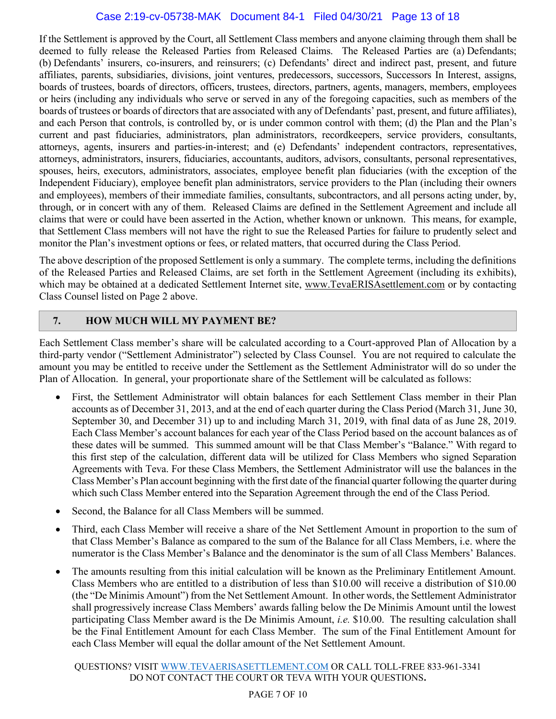#### Case 2:19-cv-05738-MAK Document 84-1 Filed 04/30/21 Page 13 of 18

If the Settlement is approved by the Court, all Settlement Class members and anyone claiming through them shall be deemed to fully release the Released Parties from Released Claims. The Released Parties are (a) Defendants; (b) Defendants' insurers, co-insurers, and reinsurers; (c) Defendants' direct and indirect past, present, and future affiliates, parents, subsidiaries, divisions, joint ventures, predecessors, successors, Successors In Interest, assigns, boards of trustees, boards of directors, officers, trustees, directors, partners, agents, managers, members, employees or heirs (including any individuals who serve or served in any of the foregoing capacities, such as members of the boards of trustees or boards of directors that are associated with any of Defendants' past, present, and future affiliates), and each Person that controls, is controlled by, or is under common control with them; (d) the Plan and the Plan's current and past fiduciaries, administrators, plan administrators, recordkeepers, service providers, consultants, attorneys, agents, insurers and parties-in-interest; and (e) Defendants' independent contractors, representatives, attorneys, administrators, insurers, fiduciaries, accountants, auditors, advisors, consultants, personal representatives, spouses, heirs, executors, administrators, associates, employee benefit plan fiduciaries (with the exception of the Independent Fiduciary), employee benefit plan administrators, service providers to the Plan (including their owners and employees), members of their immediate families, consultants, subcontractors, and all persons acting under, by, through, or in concert with any of them. Released Claims are defined in the Settlement Agreement and include all claims that were or could have been asserted in the Action, whether known or unknown. This means, for example, that Settlement Class members will not have the right to sue the Released Parties for failure to prudently select and monitor the Plan's investment options or fees, or related matters, that occurred during the Class Period.

The above description of the proposed Settlement is only a summary. The complete terms, including the definitions of the Released Parties and Released Claims, are set forth in the Settlement Agreement (including its exhibits), which may be obtained at a dedicated Settlement Internet site, www.TevaERISAsettlement.com or by contacting Class Counsel listed on Page 2 above.

#### **7. HOW MUCH WILL MY PAYMENT BE?**

Each Settlement Class member's share will be calculated according to a Court-approved Plan of Allocation by a third-party vendor ("Settlement Administrator") selected by Class Counsel. You are not required to calculate the amount you may be entitled to receive under the Settlement as the Settlement Administrator will do so under the Plan of Allocation. In general, your proportionate share of the Settlement will be calculated as follows:

- First, the Settlement Administrator will obtain balances for each Settlement Class member in their Plan accounts as of December 31, 2013, and at the end of each quarter during the Class Period (March 31, June 30, September 30, and December 31) up to and including March 31, 2019, with final data of as June 28, 2019. Each Class Member's account balances for each year of the Class Period based on the account balances as of these dates will be summed. This summed amount will be that Class Member's "Balance." With regard to this first step of the calculation, different data will be utilized for Class Members who signed Separation Agreements with Teva. For these Class Members, the Settlement Administrator will use the balances in the Class Member's Plan account beginning with the first date of the financial quarter following the quarter during which such Class Member entered into the Separation Agreement through the end of the Class Period.
- Second, the Balance for all Class Members will be summed.
- Third, each Class Member will receive a share of the Net Settlement Amount in proportion to the sum of that Class Member's Balance as compared to the sum of the Balance for all Class Members, i.e. where the numerator is the Class Member's Balance and the denominator is the sum of all Class Members' Balances.
- The amounts resulting from this initial calculation will be known as the Preliminary Entitlement Amount. Class Members who are entitled to a distribution of less than \$10.00 will receive a distribution of \$10.00 (the "De Minimis Amount") from the Net Settlement Amount. In other words, the Settlement Administrator shall progressively increase Class Members' awards falling below the De Minimis Amount until the lowest participating Class Member award is the De Minimis Amount, *i.e.* \$10.00. The resulting calculation shall be the Final Entitlement Amount for each Class Member. The sum of the Final Entitlement Amount for each Class Member will equal the dollar amount of the Net Settlement Amount.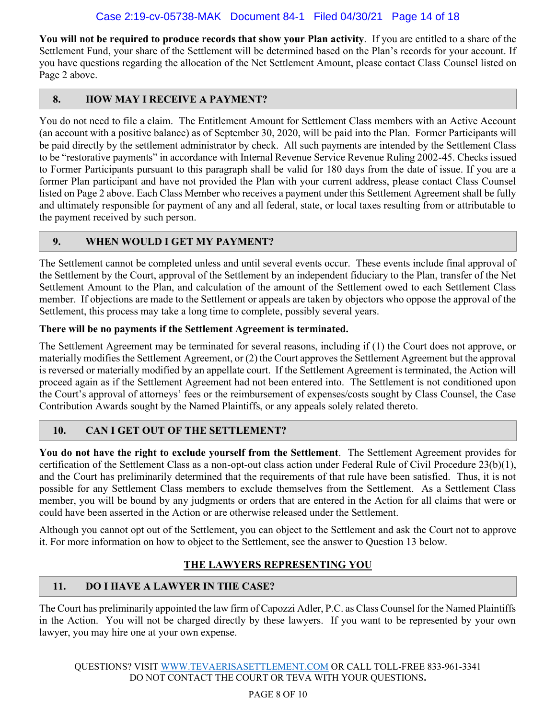**You will not be required to produce records that show your Plan activity**. If you are entitled to a share of the Settlement Fund, your share of the Settlement will be determined based on the Plan's records for your account. If you have questions regarding the allocation of the Net Settlement Amount, please contact Class Counsel listed on Page 2 above.

# **8. HOW MAY I RECEIVE A PAYMENT?**

You do not need to file a claim. The Entitlement Amount for Settlement Class members with an Active Account (an account with a positive balance) as of September 30, 2020, will be paid into the Plan. Former Participants will be paid directly by the settlement administrator by check. All such payments are intended by the Settlement Class to be "restorative payments" in accordance with Internal Revenue Service Revenue Ruling 2002-45. Checks issued to Former Participants pursuant to this paragraph shall be valid for 180 days from the date of issue. If you are a former Plan participant and have not provided the Plan with your current address, please contact Class Counsel listed on Page 2 above. Each Class Member who receives a payment under this Settlement Agreement shall be fully and ultimately responsible for payment of any and all federal, state, or local taxes resulting from or attributable to the payment received by such person.

# **9. WHEN WOULD I GET MY PAYMENT?**

The Settlement cannot be completed unless and until several events occur. These events include final approval of the Settlement by the Court, approval of the Settlement by an independent fiduciary to the Plan, transfer of the Net Settlement Amount to the Plan, and calculation of the amount of the Settlement owed to each Settlement Class member. If objections are made to the Settlement or appeals are taken by objectors who oppose the approval of the Settlement, this process may take a long time to complete, possibly several years.

#### **There will be no payments if the Settlement Agreement is terminated.**

The Settlement Agreement may be terminated for several reasons, including if (1) the Court does not approve, or materially modifies the Settlement Agreement, or (2) the Court approves the Settlement Agreement but the approval is reversed or materially modified by an appellate court. If the Settlement Agreement is terminated, the Action will proceed again as if the Settlement Agreement had not been entered into. The Settlement is not conditioned upon the Court's approval of attorneys' fees or the reimbursement of expenses/costs sought by Class Counsel, the Case Contribution Awards sought by the Named Plaintiffs, or any appeals solely related thereto.

# **10. CAN I GET OUT OF THE SETTLEMENT?**

**You do not have the right to exclude yourself from the Settlement**. The Settlement Agreement provides for certification of the Settlement Class as a non-opt-out class action under Federal Rule of Civil Procedure 23(b)(1), and the Court has preliminarily determined that the requirements of that rule have been satisfied. Thus, it is not possible for any Settlement Class members to exclude themselves from the Settlement. As a Settlement Class member, you will be bound by any judgments or orders that are entered in the Action for all claims that were or could have been asserted in the Action or are otherwise released under the Settlement.

Although you cannot opt out of the Settlement, you can object to the Settlement and ask the Court not to approve it. For more information on how to object to the Settlement, see the answer to Question 13 below.

#### **THE LAWYERS REPRESENTING YOU**

# **11. DO I HAVE A LAWYER IN THE CASE?**

The Court has preliminarily appointed the law firm of Capozzi Adler, P.C. as Class Counsel for the Named Plaintiffs in the Action. You will not be charged directly by these lawyers. If you want to be represented by your own lawyer, you may hire one at your own expense.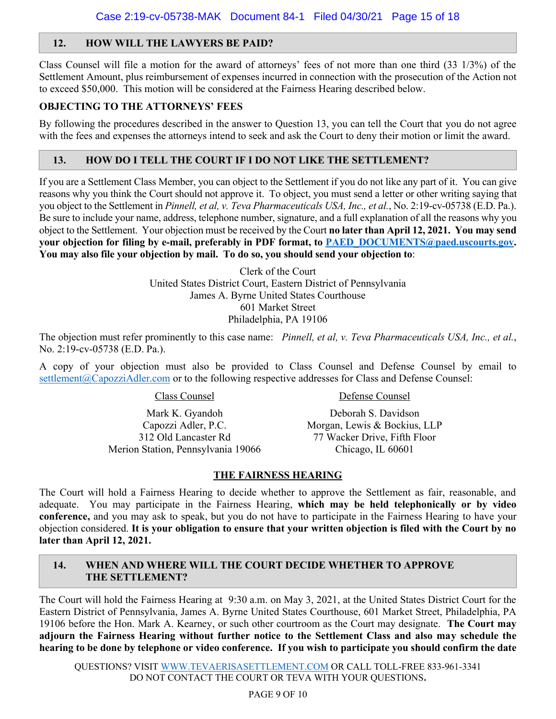# **12. HOW WILL THE LAWYERS BE PAID?**

Class Counsel will file a motion for the award of attorneys' fees of not more than one third (33 1/3%) of the Settlement Amount, plus reimbursement of expenses incurred in connection with the prosecution of the Action not to exceed \$50,000. This motion will be considered at the Fairness Hearing described below.

#### **OBJECTING TO THE ATTORNEYS' FEES**

By following the procedures described in the answer to Question 13, you can tell the Court that you do not agree with the fees and expenses the attorneys intend to seek and ask the Court to deny their motion or limit the award.

## **13. HOW DO I TELL THE COURT IF I DO NOT LIKE THE SETTLEMENT?**

If you are a Settlement Class Member, you can object to the Settlement if you do not like any part of it. You can give reasons why you think the Court should not approve it. To object, you must send a letter or other writing saying that you object to the Settlement in *Pinnell, et al, v. Teva Pharmaceuticals USA, Inc., et al.*, No. 2:19-cv-05738 (E.D. Pa.). Be sure to include your name, address, telephone number, signature, and a full explanation of all the reasons why you object to the Settlement. Your objection must be received by the Court **no later than April 12, 2021. You may send your objection for filing by e-mail, preferably in PDF format, to PAED\_DOCUMENTS@paed.uscourts.gov. You may also file your objection by mail. To do so, you should send your objection to**:

> Clerk of the Court United States District Court, Eastern District of Pennsylvania James A. Byrne United States Courthouse 601 Market Street Philadelphia, PA 19106

The objection must refer prominently to this case name: *Pinnell, et al, v. Teva Pharmaceuticals USA, Inc., et al.*, No. 2:19-cv-05738 (E.D. Pa.).

A copy of your objection must also be provided to Class Counsel and Defense Counsel by email to settlement@CapozziAdler.com or to the following respective addresses for Class and Defense Counsel:

Class Counsel

Mark K. Gyandoh Capozzi Adler, P.C. 312 Old Lancaster Rd Merion Station, Pennsylvania 19066 Defense Counsel

Deborah S. Davidson Morgan, Lewis & Bockius, LLP 77 Wacker Drive, Fifth Floor Chicago, IL 60601

#### **THE FAIRNESS HEARING**

The Court will hold a Fairness Hearing to decide whether to approve the Settlement as fair, reasonable, and adequate. You may participate in the Fairness Hearing, **which may be held telephonically or by video conference,** and you may ask to speak, but you do not have to participate in the Fairness Hearing to have your objection considered. **It is your obligation to ensure that your written objection is filed with the Court by no later than April 12, 2021.**

# **14. WHEN AND WHERE WILL THE COURT DECIDE WHETHER TO APPROVE THE SETTLEMENT?**

The Court will hold the Fairness Hearing at 9:30 a.m. on May 3, 2021, at the United States District Court for the Eastern District of Pennsylvania, James A. Byrne United States Courthouse, 601 Market Street, Philadelphia, PA 19106 before the Hon. Mark A. Kearney, or such other courtroom as the Court may designate. **The Court may adjourn the Fairness Hearing without further notice to the Settlement Class and also may schedule the hearing to be done by telephone or video conference. If you wish to participate you should confirm the date**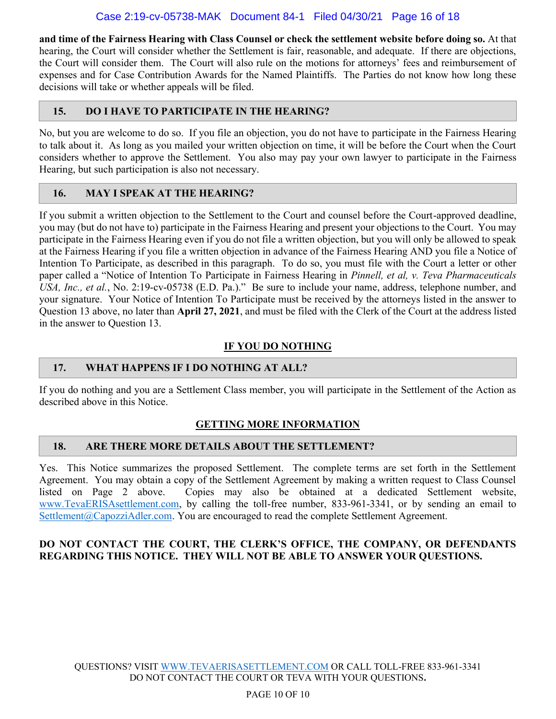**and time of the Fairness Hearing with Class Counsel or check the settlement website before doing so.** At that hearing, the Court will consider whether the Settlement is fair, reasonable, and adequate. If there are objections, the Court will consider them. The Court will also rule on the motions for attorneys' fees and reimbursement of expenses and for Case Contribution Awards for the Named Plaintiffs. The Parties do not know how long these decisions will take or whether appeals will be filed.

# **15. DO I HAVE TO PARTICIPATE IN THE HEARING?**

No, but you are welcome to do so. If you file an objection, you do not have to participate in the Fairness Hearing to talk about it. As long as you mailed your written objection on time, it will be before the Court when the Court considers whether to approve the Settlement. You also may pay your own lawyer to participate in the Fairness Hearing, but such participation is also not necessary.

# **16. MAY I SPEAK AT THE HEARING?**

If you submit a written objection to the Settlement to the Court and counsel before the Court-approved deadline, you may (but do not have to) participate in the Fairness Hearing and present your objections to the Court. You may participate in the Fairness Hearing even if you do not file a written objection, but you will only be allowed to speak at the Fairness Hearing if you file a written objection in advance of the Fairness Hearing AND you file a Notice of Intention To Participate, as described in this paragraph.To do so, you must file with the Court a letter or other paper called a "Notice of Intention To Participate in Fairness Hearing in *Pinnell, et al, v. Teva Pharmaceuticals USA, Inc., et al.*, No. 2:19-cv-05738 (E.D. Pa.)." Be sure to include your name, address, telephone number, and your signature. Your Notice of Intention To Participate must be received by the attorneys listed in the answer to Question 13 above, no later than **April 27, 2021**, and must be filed with the Clerk of the Court at the address listed in the answer to Question 13.

# **IF YOU DO NOTHING**

# **17. WHAT HAPPENS IF I DO NOTHING AT ALL?**

If you do nothing and you are a Settlement Class member, you will participate in the Settlement of the Action as described above in this Notice.

# **GETTING MORE INFORMATION**

#### **18. ARE THERE MORE DETAILS ABOUT THE SETTLEMENT?**

Yes. This Notice summarizes the proposed Settlement. The complete terms are set forth in the Settlement Agreement. You may obtain a copy of the Settlement Agreement by making a written request to Class Counsel listed on Page 2 above. Copies may also be obtained at a dedicated Settlement website, www.TevaERISAsettlement.com, by calling the toll-free number, 833-961-3341, or by sending an email to Settlement@CapozziAdler.com. You are encouraged to read the complete Settlement Agreement.

# **DO NOT CONTACT THE COURT, THE CLERK'S OFFICE, THE COMPANY, OR DEFENDANTS REGARDING THIS NOTICE. THEY WILL NOT BE ABLE TO ANSWER YOUR QUESTIONS.**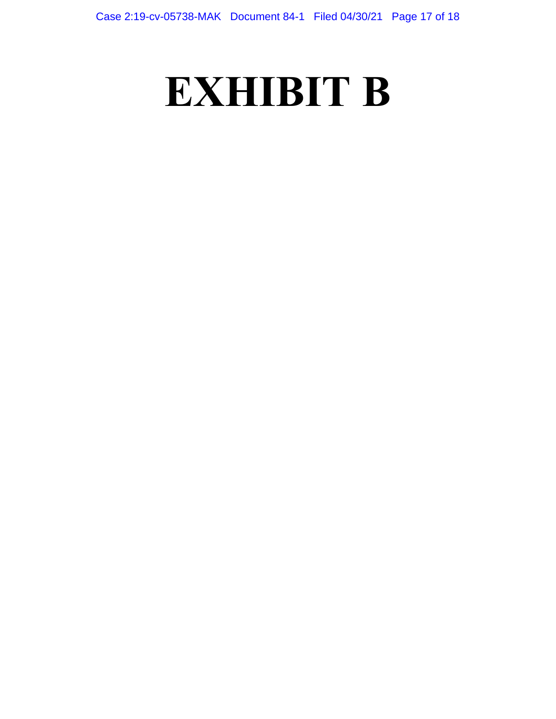# **EXHIBIT B**